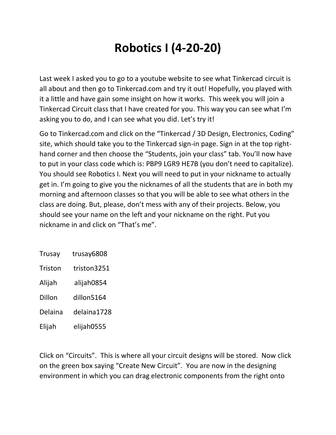## **Robotics I (4-20-20)**

Last week I asked you to go to a youtube website to see what Tinkercad circuit is all about and then go to Tinkercad.com and try it out! Hopefully, you played with it a little and have gain some insight on how it works. This week you will join a Tinkercad Circuit class that I have created for you. This way you can see what I'm asking you to do, and I can see what you did. Let's try it!

Go to Tinkercad.com and click on the "Tinkercad / 3D Design, Electronics, Coding" site, which should take you to the Tinkercad sign-in page. Sign in at the top righthand corner and then choose the "Students, join your class" tab. You'll now have to put in your class code which is: PBP9 LGR9 HE7B (you don't need to capitalize). You should see Robotics I. Next you will need to put in your nickname to actually get in. I'm going to give you the nicknames of all the students that are in both my morning and afternoon classes so that you will be able to see what others in the class are doing. But, please, don't mess with any of their projects. Below, you should see your name on the left and your nickname on the right. Put you nickname in and click on "That's me".

| Trusay  | trusay6808  |
|---------|-------------|
| Triston | triston3251 |
| Alijah  | alijah0854  |
| Dillon  | dillon5164  |
| Delaina | delaina1728 |
| Elijah  | elijah0555  |

Click on "Circuits". This is where all your circuit designs will be stored. Now click on the green box saying "Create New Circuit". You are now in the designing environment in which you can drag electronic components from the right onto